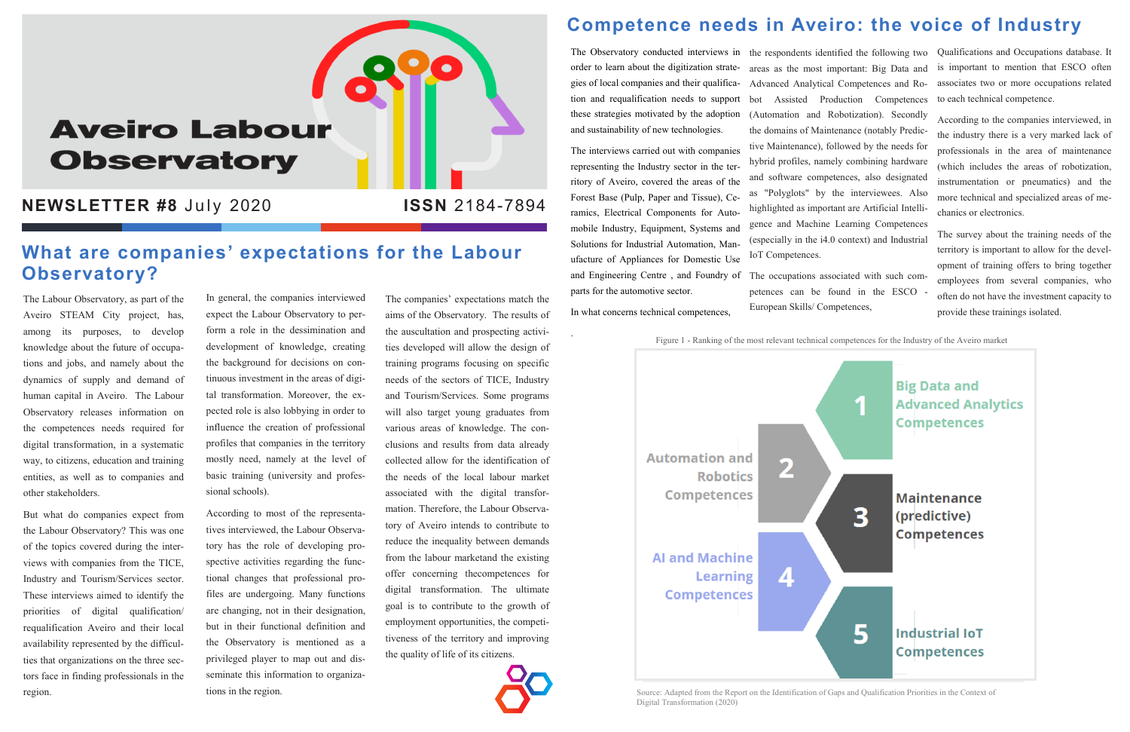# **Aveiro Labour Observatory**

**NEWSLETTER #8 July 2020** 

The Labour Observatory, as part of the Aveiro STEAM City project, has, among its purposes, to develop knowledge about the future of occupations and jobs, and namely about the dynamics of supply and demand of human capital in Aveiro. The Labour Observatory releases information on the competences needs required for digital transformation, in a systematic way, to citizens, education and training entities, as well as to companies and other stakeholders.

But what do companies expect from the Labour Observatory? This was one of the topics covered during the interviews with companies from the TICE, Industry and Tourism/Services sector. These interviews aimed to identify the priorities of digital qualification/ requalification Aveiro and their local availability represented by the difficulties that organizations on the three sectors face in finding professionals in the region.

In general, the companies interviewed expect the Labour Observatory to perform a role in the dessimination and development of knowledge, creating the background for decisions on continuous investment in the areas of digital transformation. Moreover, the expected role is also lobbying in order to influence the creation of professional profiles that companies in the territory mostly need, namely at the level of basic training (university and professional schools).

According to most of the representatives interviewed, the Labour Observatory has the role of developing prospective activities regarding the functional changes that professional profiles are undergoing. Many functions are changing, not in their designation, but in their functional definition and the Observatory is mentioned as a privileged player to map out and disseminate this information to organizations in the region.

The Observatory conducted interviews in the respondents identified the following two Qualifications and Occupations database. It areas as the most important: Big Data and Advanced Analytical Competences and Robot Assisted Production Competences (Automation and Robotization). Secondly the domains of Maintenance (notably Predictive Maintenance), followed by the needs for hybrid profiles, namely combining hardware and software competences, also designated as "Polyglots" by the interviewees. Also highlighted as important are Artificial Intelligence and Machine Learning Competences (especially in the i4.0 context) and Industrial IoT Competences.

The companies' expectations match the aims of the Observatory. The results of the auscultation and prospecting activities developed will allow the design of training programs focusing on specific needs of the sectors of TICE, Industry and Tourism/Services. Some programs will also target young graduates from various areas of knowledge. The conclusions and results from data already collected allow for the identification of the needs of the local labour market associated with the digital transformation. Therefore, the Labour Observatory of Aveiro intends to contribute to reduce the inequality between demands from the labour marketand the existing offer concerning thecompetences for digital transformation. The ultimate goal is to contribute to the growth of employment opportunities, the competitiveness of the territory and improving the quality of life of its citizens.



#### **Competence needs in Aveiro: the voice of Industry**

order to learn about the digitization strategies of local companies and their qualification and requalification needs to support these strategies motivated by the adoption and sustainability of new technologies.

The interviews carried out with companies representing the Industry sector in the territory of Aveiro, covered the areas of the Forest Base (Pulp, Paper and Tissue), Ceramics, Electrical Components for Automobile Industry, Equipment, Systems and Solutions for Industrial Automation, Manufacture of Appliances for Domestic Use and Engineering Centre , and Foundry of parts for the automotive sector.

In what concerns technical competences,

.

#### **What are companies' expectations for the Labour Observatory?**

The occupations associated with such competences can be found in the ESCO European Skills/ Competences,

is important to mention that ESCO often associates two or more occupations related to each technical competence.

According to the companies interviewed, in the industry there is a very marked lack of professionals in the area of maintenance (which includes the areas of robotization, instrumentation or pneumatics) and the more technical and specialized areas of mechanics or electronics.

The survey about the training needs of the territory is important to allow for the development of training offers to bring together employees from several companies, who often do not have the investment capacity to provide these trainings isolated.



Figure 1 - Ranking of the most relevant technical competences for the Industry of the Aveiro market

 $\overline{2}$ 

4

**Automation and Robotics Competences** 

**AI and Machine Learning Competences** 

Source: Adapted from the Report on the Identification of Gaps and Qualification Priorities in the Context of Digital Transformation (2020)

**ISSN** 2184-7894